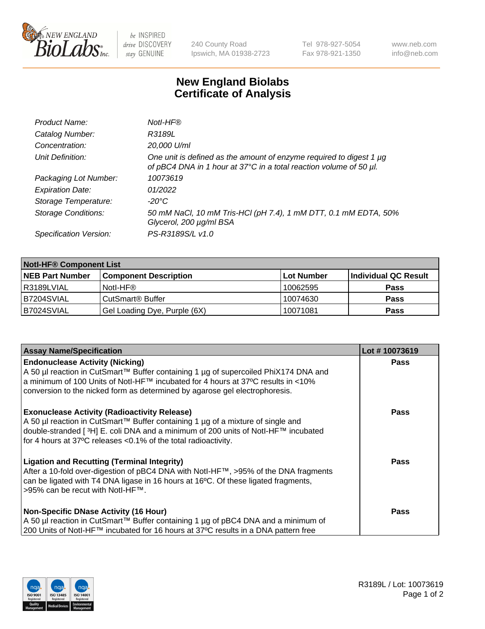

 $be$  INSPIRED drive DISCOVERY stay GENUINE

240 County Road Ipswich, MA 01938-2723 Tel 978-927-5054 Fax 978-921-1350 www.neb.com info@neb.com

## **New England Biolabs Certificate of Analysis**

| Product Name:              | Notl-HF®                                                                                                                                  |
|----------------------------|-------------------------------------------------------------------------------------------------------------------------------------------|
| Catalog Number:            | R3189L                                                                                                                                    |
| Concentration:             | 20,000 U/ml                                                                                                                               |
| Unit Definition:           | One unit is defined as the amount of enzyme required to digest 1 µg<br>of pBC4 DNA in 1 hour at 37°C in a total reaction volume of 50 µl. |
| Packaging Lot Number:      | 10073619                                                                                                                                  |
| <b>Expiration Date:</b>    | 01/2022                                                                                                                                   |
| Storage Temperature:       | $-20^{\circ}$ C                                                                                                                           |
| <b>Storage Conditions:</b> | 50 mM NaCl, 10 mM Tris-HCl (pH 7.4), 1 mM DTT, 0.1 mM EDTA, 50%<br>Glycerol, 200 µg/ml BSA                                                |
| Specification Version:     | PS-R3189S/L v1.0                                                                                                                          |

| <b>Notl-HF® Component List</b> |                              |            |                      |  |
|--------------------------------|------------------------------|------------|----------------------|--|
| <b>NEB Part Number</b>         | <b>Component Description</b> | Lot Number | Individual QC Result |  |
| l R3189LVIAL                   | Notl-HF®                     | 10062595   | <b>Pass</b>          |  |
| IB7204SVIAL                    | CutSmart <sup>®</sup> Buffer | 10074630   | <b>Pass</b>          |  |
| B7024SVIAL                     | Gel Loading Dye, Purple (6X) | 10071081   | <b>Pass</b>          |  |

| <b>Assay Name/Specification</b>                                                                                                                                                                                                                                                                              | Lot #10073619 |
|--------------------------------------------------------------------------------------------------------------------------------------------------------------------------------------------------------------------------------------------------------------------------------------------------------------|---------------|
| <b>Endonuclease Activity (Nicking)</b><br>  A 50 µl reaction in CutSmart™ Buffer containing 1 µg of supercoiled PhiX174 DNA and                                                                                                                                                                              | <b>Pass</b>   |
| a minimum of 100 Units of Notl-HF™ incubated for 4 hours at 37°C results in <10%<br>conversion to the nicked form as determined by agarose gel electrophoresis.                                                                                                                                              |               |
| <b>Exonuclease Activity (Radioactivity Release)</b><br>  A 50 µl reaction in CutSmart™ Buffer containing 1 µg of a mixture of single and<br>double-stranded [ <sup>3</sup> H] E. coli DNA and a minimum of 200 units of Notl-HF™ incubated<br>for 4 hours at 37°C releases <0.1% of the total radioactivity. | Pass          |
| <b>Ligation and Recutting (Terminal Integrity)</b><br>After a 10-fold over-digestion of pBC4 DNA with Notl-HF™, >95% of the DNA fragments<br>can be ligated with T4 DNA ligase in 16 hours at 16 <sup>o</sup> C. Of these ligated fragments,<br>1>95% can be recut with NotI-HF™.                            | Pass          |
| <b>Non-Specific DNase Activity (16 Hour)</b><br>A 50 µl reaction in CutSmart™ Buffer containing 1 µg of pBC4 DNA and a minimum of                                                                                                                                                                            | <b>Pass</b>   |
| 200 Units of Notl-HF™ incubated for 16 hours at 37°C results in a DNA pattern free                                                                                                                                                                                                                           |               |